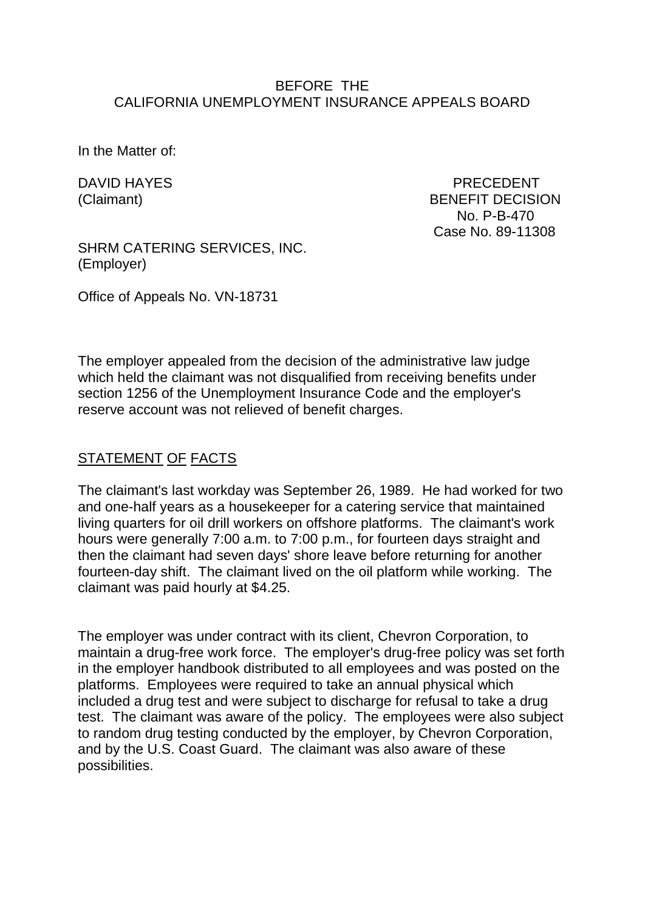#### BEFORE THE CALIFORNIA UNEMPLOYMENT INSURANCE APPEALS BOARD

In the Matter of:

DAVID HAYES PRECEDENT (Claimant) BENEFIT DECISION No. P-B-470 Case No. 89-11308

SHRM CATERING SERVICES, INC. (Employer)

Office of Appeals No. VN-18731

The employer appealed from the decision of the administrative law judge which held the claimant was not disqualified from receiving benefits under section 1256 of the Unemployment Insurance Code and the employer's reserve account was not relieved of benefit charges.

## STATEMENT OF FACTS

The claimant's last workday was September 26, 1989. He had worked for two and one-half years as a housekeeper for a catering service that maintained living quarters for oil drill workers on offshore platforms. The claimant's work hours were generally 7:00 a.m. to 7:00 p.m., for fourteen days straight and then the claimant had seven days' shore leave before returning for another fourteen-day shift. The claimant lived on the oil platform while working. The claimant was paid hourly at \$4.25.

The employer was under contract with its client, Chevron Corporation, to maintain a drug-free work force. The employer's drug-free policy was set forth in the employer handbook distributed to all employees and was posted on the platforms. Employees were required to take an annual physical which included a drug test and were subject to discharge for refusal to take a drug test. The claimant was aware of the policy. The employees were also subject to random drug testing conducted by the employer, by Chevron Corporation, and by the U.S. Coast Guard. The claimant was also aware of these possibilities.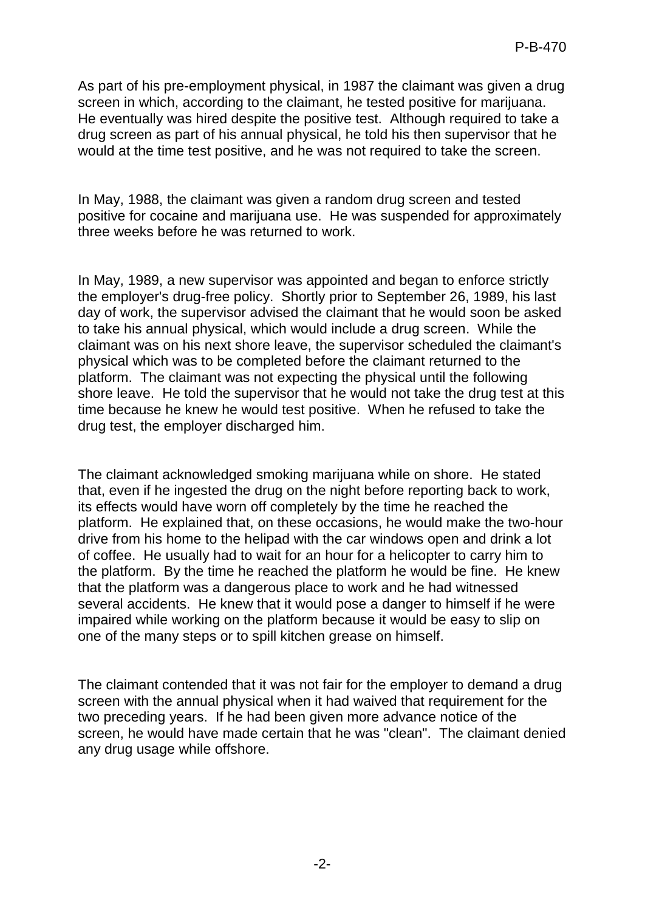As part of his pre-employment physical, in 1987 the claimant was given a drug screen in which, according to the claimant, he tested positive for marijuana. He eventually was hired despite the positive test. Although required to take a drug screen as part of his annual physical, he told his then supervisor that he would at the time test positive, and he was not required to take the screen.

In May, 1988, the claimant was given a random drug screen and tested positive for cocaine and marijuana use. He was suspended for approximately three weeks before he was returned to work.

In May, 1989, a new supervisor was appointed and began to enforce strictly the employer's drug-free policy. Shortly prior to September 26, 1989, his last day of work, the supervisor advised the claimant that he would soon be asked to take his annual physical, which would include a drug screen. While the claimant was on his next shore leave, the supervisor scheduled the claimant's physical which was to be completed before the claimant returned to the platform. The claimant was not expecting the physical until the following shore leave. He told the supervisor that he would not take the drug test at this time because he knew he would test positive. When he refused to take the drug test, the employer discharged him.

The claimant acknowledged smoking marijuana while on shore. He stated that, even if he ingested the drug on the night before reporting back to work, its effects would have worn off completely by the time he reached the platform. He explained that, on these occasions, he would make the two-hour drive from his home to the helipad with the car windows open and drink a lot of coffee. He usually had to wait for an hour for a helicopter to carry him to the platform. By the time he reached the platform he would be fine. He knew that the platform was a dangerous place to work and he had witnessed several accidents. He knew that it would pose a danger to himself if he were impaired while working on the platform because it would be easy to slip on one of the many steps or to spill kitchen grease on himself.

The claimant contended that it was not fair for the employer to demand a drug screen with the annual physical when it had waived that requirement for the two preceding years. If he had been given more advance notice of the screen, he would have made certain that he was "clean". The claimant denied any drug usage while offshore.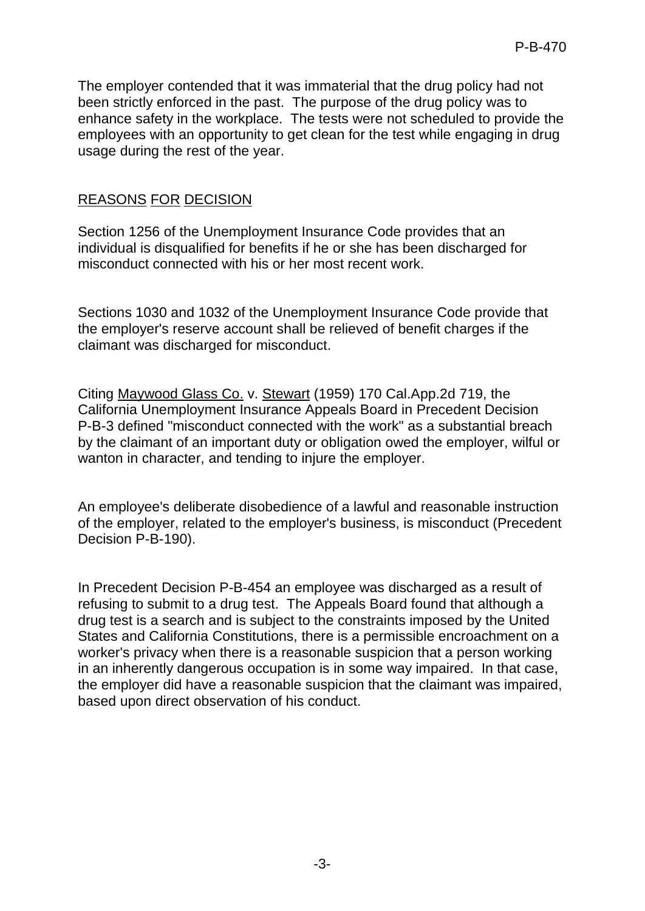The employer contended that it was immaterial that the drug policy had not been strictly enforced in the past. The purpose of the drug policy was to enhance safety in the workplace. The tests were not scheduled to provide the employees with an opportunity to get clean for the test while engaging in drug usage during the rest of the year.

# REASONS FOR DECISION

Section 1256 of the Unemployment Insurance Code provides that an individual is disqualified for benefits if he or she has been discharged for misconduct connected with his or her most recent work.

Sections 1030 and 1032 of the Unemployment Insurance Code provide that the employer's reserve account shall be relieved of benefit charges if the claimant was discharged for misconduct.

Citing Maywood Glass Co. v. Stewart (1959) 170 Cal.App.2d 719, the California Unemployment Insurance Appeals Board in Precedent Decision P-B-3 defined "misconduct connected with the work" as a substantial breach by the claimant of an important duty or obligation owed the employer, wilful or wanton in character, and tending to injure the employer.

An employee's deliberate disobedience of a lawful and reasonable instruction of the employer, related to the employer's business, is misconduct (Precedent Decision P-B-190).

In Precedent Decision P-B-454 an employee was discharged as a result of refusing to submit to a drug test. The Appeals Board found that although a drug test is a search and is subject to the constraints imposed by the United States and California Constitutions, there is a permissible encroachment on a worker's privacy when there is a reasonable suspicion that a person working in an inherently dangerous occupation is in some way impaired. In that case, the employer did have a reasonable suspicion that the claimant was impaired, based upon direct observation of his conduct.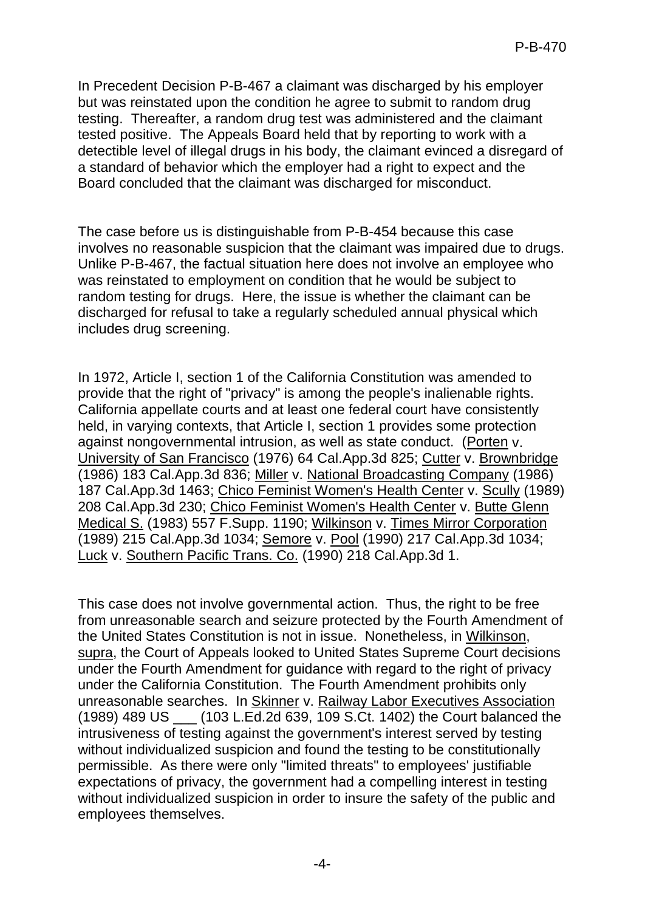In Precedent Decision P-B-467 a claimant was discharged by his employer but was reinstated upon the condition he agree to submit to random drug testing. Thereafter, a random drug test was administered and the claimant tested positive. The Appeals Board held that by reporting to work with a detectible level of illegal drugs in his body, the claimant evinced a disregard of a standard of behavior which the employer had a right to expect and the Board concluded that the claimant was discharged for misconduct.

The case before us is distinguishable from P-B-454 because this case involves no reasonable suspicion that the claimant was impaired due to drugs. Unlike P-B-467, the factual situation here does not involve an employee who was reinstated to employment on condition that he would be subject to random testing for drugs. Here, the issue is whether the claimant can be discharged for refusal to take a regularly scheduled annual physical which includes drug screening.

In 1972, Article I, section 1 of the California Constitution was amended to provide that the right of "privacy" is among the people's inalienable rights. California appellate courts and at least one federal court have consistently held, in varying contexts, that Article I, section 1 provides some protection against nongovernmental intrusion, as well as state conduct. (Porten v. University of San Francisco (1976) 64 Cal.App.3d 825; Cutter v. Brownbridge (1986) 183 Cal.App.3d 836; Miller v. National Broadcasting Company (1986) 187 Cal.App.3d 1463; Chico Feminist Women's Health Center v. Scully (1989) 208 Cal.App.3d 230; Chico Feminist Women's Health Center v. Butte Glenn Medical S. (1983) 557 F.Supp. 1190; Wilkinson v. Times Mirror Corporation (1989) 215 Cal.App.3d 1034; Semore v. Pool (1990) 217 Cal.App.3d 1034; Luck v. Southern Pacific Trans. Co. (1990) 218 Cal.App.3d 1.

This case does not involve governmental action. Thus, the right to be free from unreasonable search and seizure protected by the Fourth Amendment of the United States Constitution is not in issue. Nonetheless, in Wilkinson, supra, the Court of Appeals looked to United States Supreme Court decisions under the Fourth Amendment for guidance with regard to the right of privacy under the California Constitution. The Fourth Amendment prohibits only unreasonable searches. In Skinner v. Railway Labor Executives Association (1989) 489 US \_\_\_ (103 L.Ed.2d 639, 109 S.Ct. 1402) the Court balanced the intrusiveness of testing against the government's interest served by testing without individualized suspicion and found the testing to be constitutionally permissible. As there were only "limited threats" to employees' justifiable expectations of privacy, the government had a compelling interest in testing without individualized suspicion in order to insure the safety of the public and employees themselves.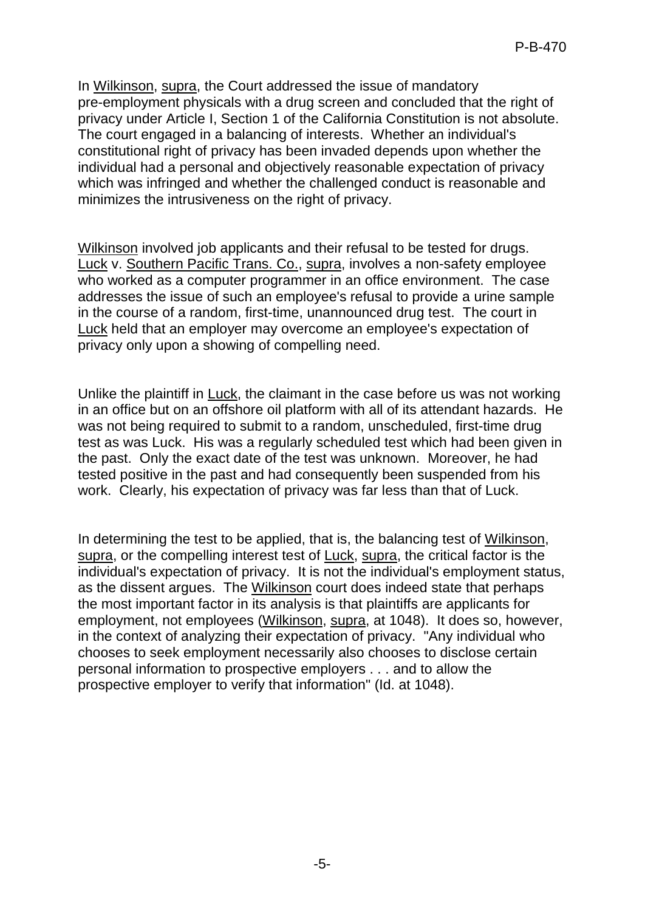In Wilkinson, supra, the Court addressed the issue of mandatory pre-employment physicals with a drug screen and concluded that the right of privacy under Article I, Section 1 of the California Constitution is not absolute. The court engaged in a balancing of interests. Whether an individual's constitutional right of privacy has been invaded depends upon whether the individual had a personal and objectively reasonable expectation of privacy which was infringed and whether the challenged conduct is reasonable and minimizes the intrusiveness on the right of privacy.

Wilkinson involved job applicants and their refusal to be tested for drugs. Luck v. Southern Pacific Trans. Co., supra, involves a non-safety employee who worked as a computer programmer in an office environment. The case addresses the issue of such an employee's refusal to provide a urine sample in the course of a random, first-time, unannounced drug test. The court in Luck held that an employer may overcome an employee's expectation of privacy only upon a showing of compelling need.

Unlike the plaintiff in Luck, the claimant in the case before us was not working in an office but on an offshore oil platform with all of its attendant hazards. He was not being required to submit to a random, unscheduled, first-time drug test as was Luck. His was a regularly scheduled test which had been given in the past. Only the exact date of the test was unknown. Moreover, he had tested positive in the past and had consequently been suspended from his work. Clearly, his expectation of privacy was far less than that of Luck.

In determining the test to be applied, that is, the balancing test of Wilkinson, supra, or the compelling interest test of Luck, supra, the critical factor is the individual's expectation of privacy. It is not the individual's employment status, as the dissent argues. The Wilkinson court does indeed state that perhaps the most important factor in its analysis is that plaintiffs are applicants for employment, not employees (Wilkinson, supra, at 1048). It does so, however, in the context of analyzing their expectation of privacy. "Any individual who chooses to seek employment necessarily also chooses to disclose certain personal information to prospective employers . . . and to allow the prospective employer to verify that information" (Id. at 1048).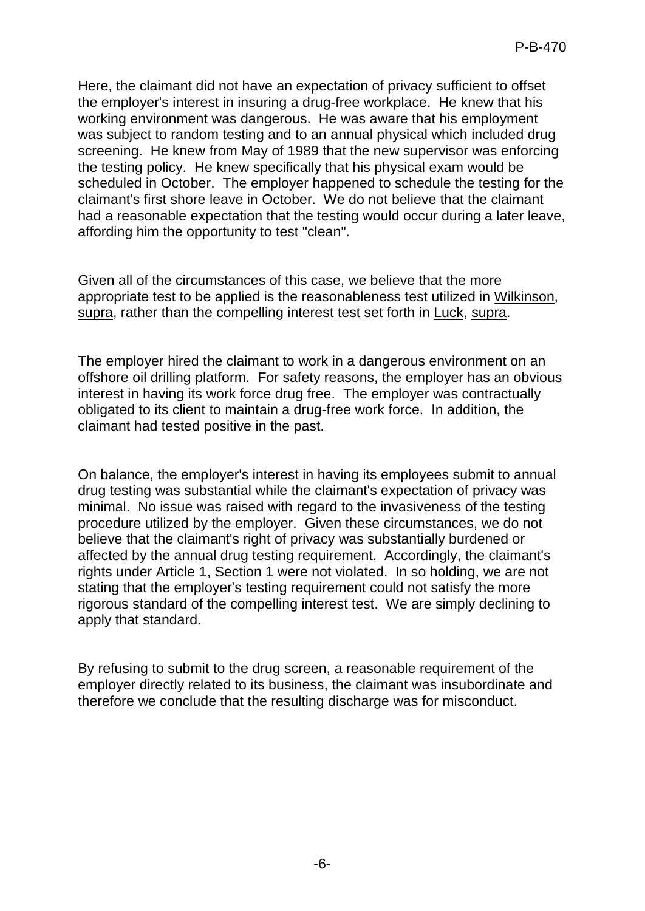Here, the claimant did not have an expectation of privacy sufficient to offset the employer's interest in insuring a drug-free workplace. He knew that his working environment was dangerous. He was aware that his employment was subject to random testing and to an annual physical which included drug screening. He knew from May of 1989 that the new supervisor was enforcing the testing policy. He knew specifically that his physical exam would be scheduled in October. The employer happened to schedule the testing for the claimant's first shore leave in October. We do not believe that the claimant had a reasonable expectation that the testing would occur during a later leave, affording him the opportunity to test "clean".

Given all of the circumstances of this case, we believe that the more appropriate test to be applied is the reasonableness test utilized in Wilkinson, supra, rather than the compelling interest test set forth in Luck, supra.

The employer hired the claimant to work in a dangerous environment on an offshore oil drilling platform. For safety reasons, the employer has an obvious interest in having its work force drug free. The employer was contractually obligated to its client to maintain a drug-free work force. In addition, the claimant had tested positive in the past.

On balance, the employer's interest in having its employees submit to annual drug testing was substantial while the claimant's expectation of privacy was minimal. No issue was raised with regard to the invasiveness of the testing procedure utilized by the employer. Given these circumstances, we do not believe that the claimant's right of privacy was substantially burdened or affected by the annual drug testing requirement. Accordingly, the claimant's rights under Article 1, Section 1 were not violated. In so holding, we are not stating that the employer's testing requirement could not satisfy the more rigorous standard of the compelling interest test. We are simply declining to apply that standard.

By refusing to submit to the drug screen, a reasonable requirement of the employer directly related to its business, the claimant was insubordinate and therefore we conclude that the resulting discharge was for misconduct.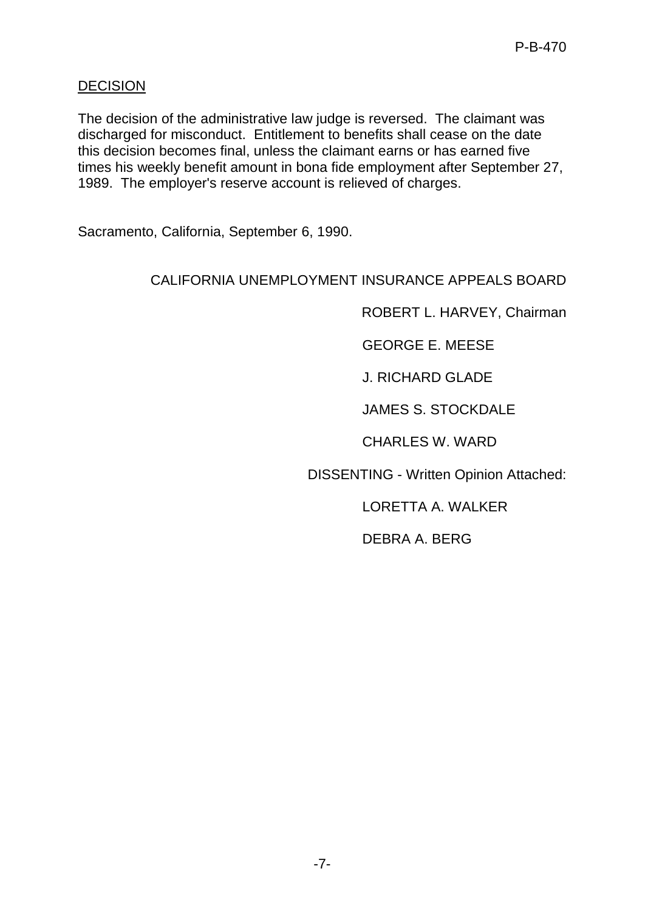## **DECISION**

The decision of the administrative law judge is reversed. The claimant was discharged for misconduct. Entitlement to benefits shall cease on the date this decision becomes final, unless the claimant earns or has earned five times his weekly benefit amount in bona fide employment after September 27, 1989. The employer's reserve account is relieved of charges.

Sacramento, California, September 6, 1990.

### CALIFORNIA UNEMPLOYMENT INSURANCE APPEALS BOARD

ROBERT L. HARVEY, Chairman

GEORGE E. MEESE

J. RICHARD GLADE

JAMES S. STOCKDALE

CHARLES W. WARD

DISSENTING - Written Opinion Attached:

LORETTA A. WALKER

DEBRA A. BERG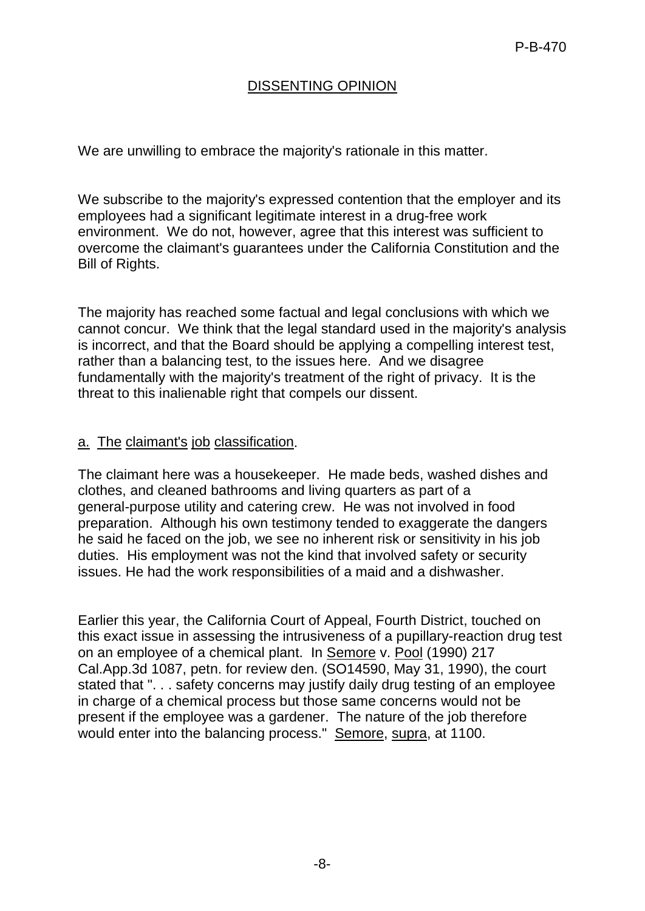# DISSENTING OPINION

We are unwilling to embrace the majority's rationale in this matter.

We subscribe to the majority's expressed contention that the employer and its employees had a significant legitimate interest in a drug-free work environment. We do not, however, agree that this interest was sufficient to overcome the claimant's guarantees under the California Constitution and the Bill of Rights.

The majority has reached some factual and legal conclusions with which we cannot concur. We think that the legal standard used in the majority's analysis is incorrect, and that the Board should be applying a compelling interest test, rather than a balancing test, to the issues here. And we disagree fundamentally with the majority's treatment of the right of privacy. It is the threat to this inalienable right that compels our dissent.

#### a. The claimant's job classification.

The claimant here was a housekeeper. He made beds, washed dishes and clothes, and cleaned bathrooms and living quarters as part of a general-purpose utility and catering crew. He was not involved in food preparation. Although his own testimony tended to exaggerate the dangers he said he faced on the job, we see no inherent risk or sensitivity in his job duties. His employment was not the kind that involved safety or security issues. He had the work responsibilities of a maid and a dishwasher.

Earlier this year, the California Court of Appeal, Fourth District, touched on this exact issue in assessing the intrusiveness of a pupillary-reaction drug test on an employee of a chemical plant. In Semore v. Pool (1990) 217 Cal.App.3d 1087, petn. for review den. (SO14590, May 31, 1990), the court stated that ". . . safety concerns may justify daily drug testing of an employee in charge of a chemical process but those same concerns would not be present if the employee was a gardener. The nature of the job therefore would enter into the balancing process." Semore, supra, at 1100.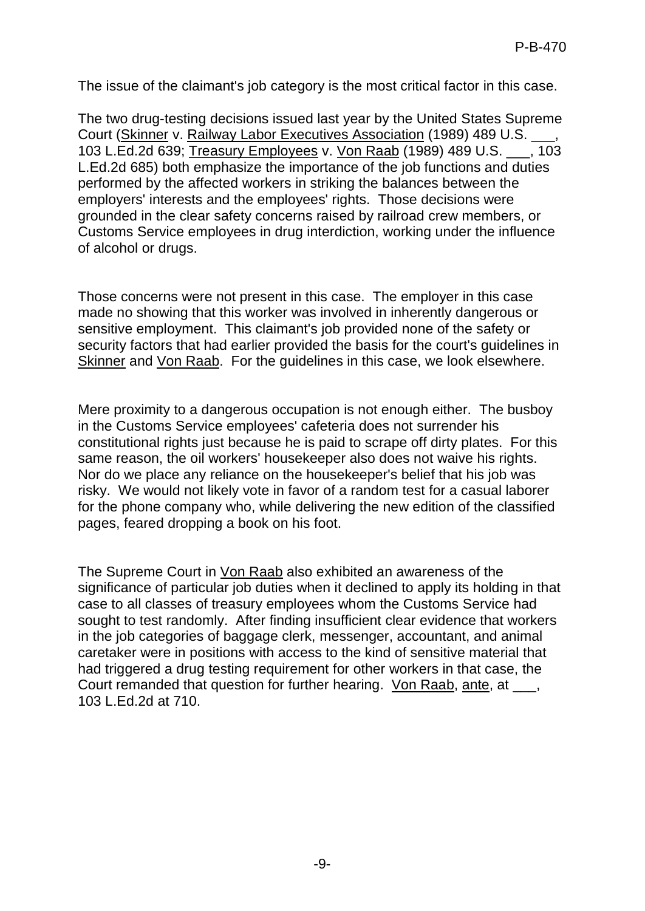The issue of the claimant's job category is the most critical factor in this case.

The two drug-testing decisions issued last year by the United States Supreme Court (Skinner v. Railway Labor Executives Association (1989) 489 U.S. \_\_\_, 103 L.Ed.2d 639; Treasury Employees v. Von Raab (1989) 489 U.S. \_\_\_, 103 L.Ed.2d 685) both emphasize the importance of the job functions and duties performed by the affected workers in striking the balances between the employers' interests and the employees' rights. Those decisions were grounded in the clear safety concerns raised by railroad crew members, or Customs Service employees in drug interdiction, working under the influence of alcohol or drugs.

Those concerns were not present in this case. The employer in this case made no showing that this worker was involved in inherently dangerous or sensitive employment. This claimant's job provided none of the safety or security factors that had earlier provided the basis for the court's guidelines in Skinner and Von Raab. For the guidelines in this case, we look elsewhere.

Mere proximity to a dangerous occupation is not enough either. The busboy in the Customs Service employees' cafeteria does not surrender his constitutional rights just because he is paid to scrape off dirty plates. For this same reason, the oil workers' housekeeper also does not waive his rights. Nor do we place any reliance on the housekeeper's belief that his job was risky. We would not likely vote in favor of a random test for a casual laborer for the phone company who, while delivering the new edition of the classified pages, feared dropping a book on his foot.

The Supreme Court in Von Raab also exhibited an awareness of the significance of particular job duties when it declined to apply its holding in that case to all classes of treasury employees whom the Customs Service had sought to test randomly. After finding insufficient clear evidence that workers in the job categories of baggage clerk, messenger, accountant, and animal caretaker were in positions with access to the kind of sensitive material that had triggered a drug testing requirement for other workers in that case, the Court remanded that question for further hearing. Von Raab, ante, at  $\qquad$ , 103 L.Ed.2d at 710.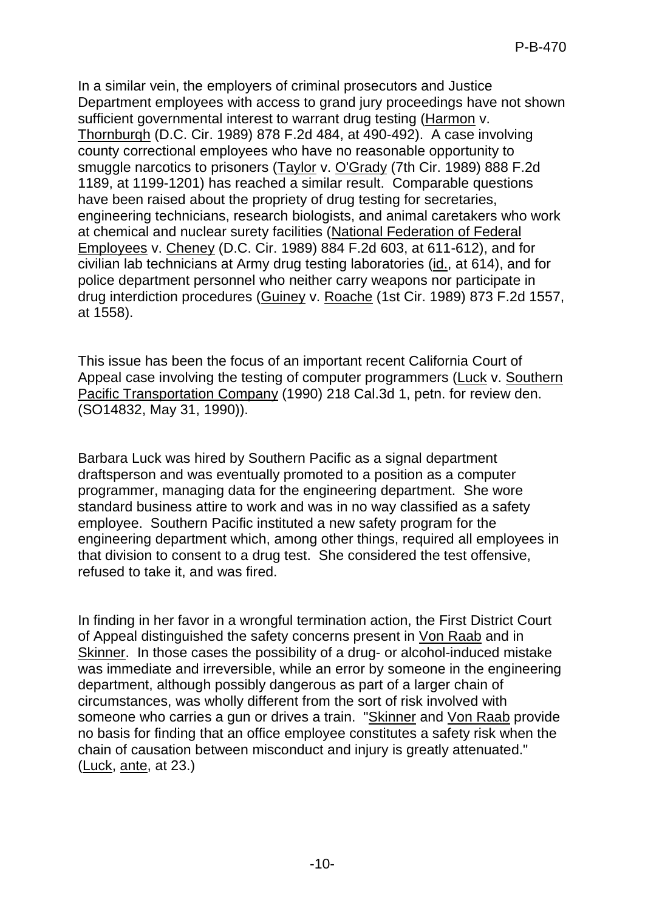In a similar vein, the employers of criminal prosecutors and Justice Department employees with access to grand jury proceedings have not shown sufficient governmental interest to warrant drug testing (Harmon v. Thornburqh (D.C. Cir. 1989) 878 F.2d 484, at 490-492). A case involving county correctional employees who have no reasonable opportunity to smuggle narcotics to prisoners (Taylor v. O'Grady (7th Cir. 1989) 888 F.2d 1189, at 1199-1201) has reached a similar result. Comparable questions have been raised about the propriety of drug testing for secretaries, engineering technicians, research biologists, and animal caretakers who work at chemical and nuclear surety facilities (National Federation of Federal Employees v. Cheney (D.C. Cir. 1989) 884 F.2d 603, at 611-612), and for civilian lab technicians at Army drug testing laboratories (id., at 614), and for police department personnel who neither carry weapons nor participate in drug interdiction procedures (Guiney v. Roache (1st Cir. 1989) 873 F.2d 1557, at 1558).

This issue has been the focus of an important recent California Court of Appeal case involving the testing of computer programmers (Luck v. Southern Pacific Transportation Company (1990) 218 Cal.3d 1, petn. for review den. (SO14832, May 31, 1990)).

Barbara Luck was hired by Southern Pacific as a signal department draftsperson and was eventually promoted to a position as a computer programmer, managing data for the engineering department. She wore standard business attire to work and was in no way classified as a safety employee. Southern Pacific instituted a new safety program for the engineering department which, among other things, required all employees in that division to consent to a drug test. She considered the test offensive, refused to take it, and was fired.

In finding in her favor in a wrongful termination action, the First District Court of Appeal distinguished the safety concerns present in Von Raab and in Skinner. In those cases the possibility of a drug- or alcohol-induced mistake was immediate and irreversible, while an error by someone in the engineering department, although possibly dangerous as part of a larger chain of circumstances, was wholly different from the sort of risk involved with someone who carries a gun or drives a train. "Skinner and Von Raab provide no basis for finding that an office employee constitutes a safety risk when the chain of causation between misconduct and injury is greatly attenuated." (Luck, ante, at 23.)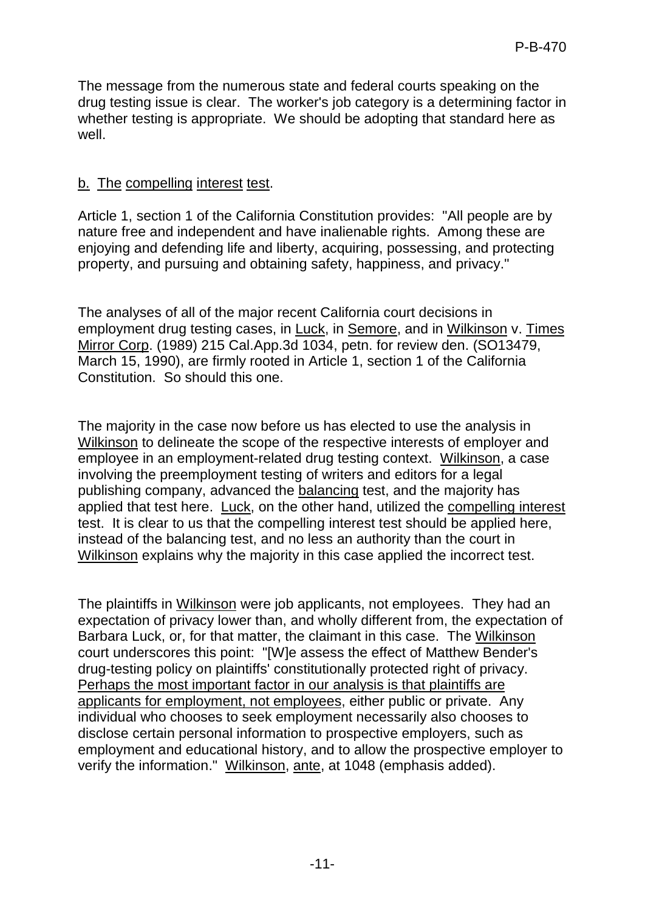The message from the numerous state and federal courts speaking on the drug testing issue is clear. The worker's job category is a determining factor in whether testing is appropriate. We should be adopting that standard here as well.

# b. The compelling interest test.

Article 1, section 1 of the California Constitution provides: "All people are by nature free and independent and have inalienable rights. Among these are enjoying and defending life and liberty, acquiring, possessing, and protecting property, and pursuing and obtaining safety, happiness, and privacy."

The analyses of all of the major recent California court decisions in employment drug testing cases, in Luck, in Semore, and in Wilkinson v. Times Mirror Corp. (1989) 215 Cal.App.3d 1034, petn. for review den. (SO13479, March 15, 1990), are firmly rooted in Article 1, section 1 of the California Constitution. So should this one.

The majority in the case now before us has elected to use the analysis in Wilkinson to delineate the scope of the respective interests of employer and employee in an employment-related drug testing context. Wilkinson, a case involving the preemployment testing of writers and editors for a legal publishing company, advanced the balancing test, and the majority has applied that test here. Luck, on the other hand, utilized the compelling interest test. It is clear to us that the compelling interest test should be applied here, instead of the balancing test, and no less an authority than the court in Wilkinson explains why the majority in this case applied the incorrect test.

The plaintiffs in Wilkinson were job applicants, not employees. They had an expectation of privacy lower than, and wholly different from, the expectation of Barbara Luck, or, for that matter, the claimant in this case. The Wilkinson court underscores this point: "[W]e assess the effect of Matthew Bender's drug-testing policy on plaintiffs' constitutionally protected right of privacy. Perhaps the most important factor in our analysis is that plaintiffs are applicants for employment, not employees, either public or private. Any individual who chooses to seek employment necessarily also chooses to disclose certain personal information to prospective employers, such as employment and educational history, and to allow the prospective employer to verify the information." Wilkinson, ante, at 1048 (emphasis added).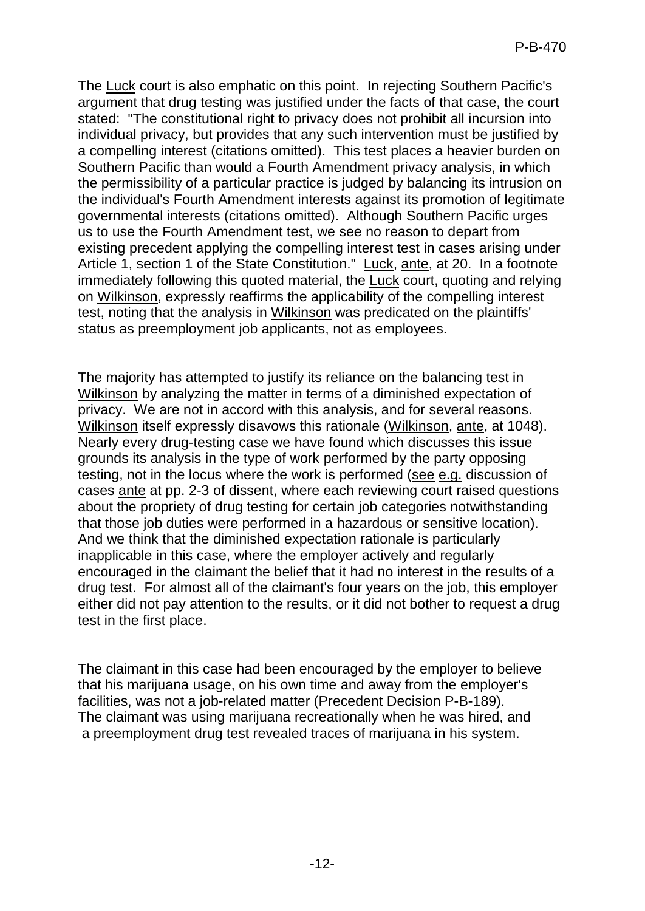The Luck court is also emphatic on this point. In rejecting Southern Pacific's argument that drug testing was justified under the facts of that case, the court stated: "The constitutional right to privacy does not prohibit all incursion into individual privacy, but provides that any such intervention must be justified by a compelling interest (citations omitted). This test places a heavier burden on Southern Pacific than would a Fourth Amendment privacy analysis, in which the permissibility of a particular practice is judged by balancing its intrusion on the individual's Fourth Amendment interests against its promotion of legitimate governmental interests (citations omitted). Although Southern Pacific urges us to use the Fourth Amendment test, we see no reason to depart from existing precedent applying the compelling interest test in cases arising under Article 1, section 1 of the State Constitution." Luck, ante, at 20. In a footnote immediately following this quoted material, the Luck court, quoting and relying on Wilkinson, expressly reaffirms the applicability of the compelling interest test, noting that the analysis in Wilkinson was predicated on the plaintiffs' status as preemployment job applicants, not as employees.

The majority has attempted to justify its reliance on the balancing test in Wilkinson by analyzing the matter in terms of a diminished expectation of privacy. We are not in accord with this analysis, and for several reasons. Wilkinson itself expressly disavows this rationale (Wilkinson, ante, at 1048). Nearly every drug-testing case we have found which discusses this issue grounds its analysis in the type of work performed by the party opposing testing, not in the locus where the work is performed (see e.g. discussion of cases ante at pp. 2-3 of dissent, where each reviewing court raised questions about the propriety of drug testing for certain job categories notwithstanding that those job duties were performed in a hazardous or sensitive location). And we think that the diminished expectation rationale is particularly inapplicable in this case, where the employer actively and regularly encouraged in the claimant the belief that it had no interest in the results of a drug test. For almost all of the claimant's four years on the job, this employer either did not pay attention to the results, or it did not bother to request a drug test in the first place.

The claimant in this case had been encouraged by the employer to believe that his marijuana usage, on his own time and away from the employer's facilities, was not a job-related matter (Precedent Decision P-B-189). The claimant was using marijuana recreationally when he was hired, and a preemployment drug test revealed traces of marijuana in his system.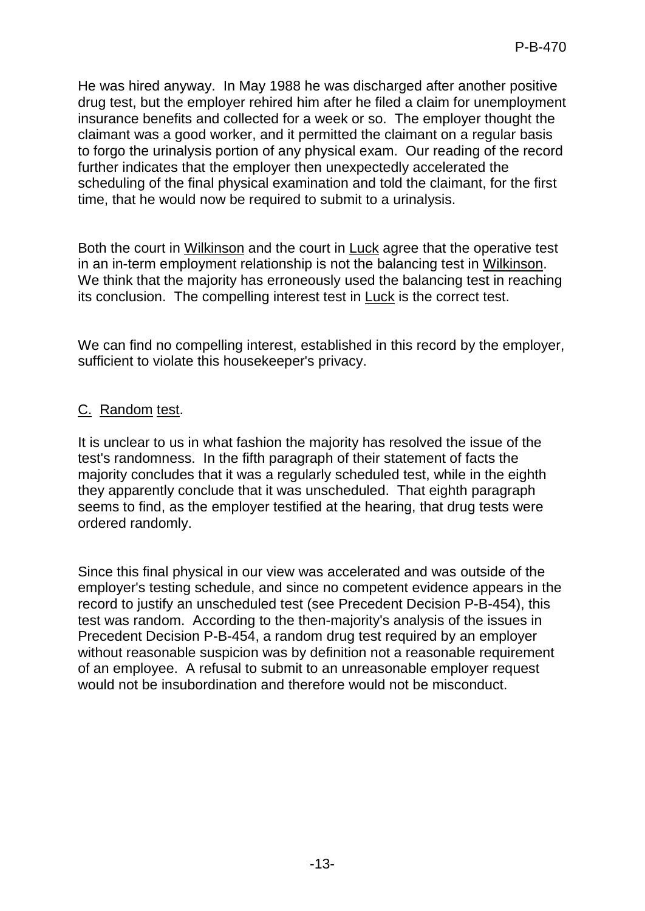He was hired anyway. In May 1988 he was discharged after another positive drug test, but the employer rehired him after he filed a claim for unemployment insurance benefits and collected for a week or so. The employer thought the claimant was a good worker, and it permitted the claimant on a regular basis to forgo the urinalysis portion of any physical exam. Our reading of the record further indicates that the employer then unexpectedly accelerated the scheduling of the final physical examination and told the claimant, for the first time, that he would now be required to submit to a urinalysis.

Both the court in Wilkinson and the court in Luck agree that the operative test in an in-term employment relationship is not the balancing test in Wilkinson. We think that the majority has erroneously used the balancing test in reaching its conclusion. The compelling interest test in Luck is the correct test.

We can find no compelling interest, established in this record by the employer, sufficient to violate this housekeeper's privacy.

### C. Random test.

It is unclear to us in what fashion the majority has resolved the issue of the test's randomness. In the fifth paragraph of their statement of facts the majority concludes that it was a regularly scheduled test, while in the eighth they apparently conclude that it was unscheduled. That eighth paragraph seems to find, as the employer testified at the hearing, that drug tests were ordered randomly.

Since this final physical in our view was accelerated and was outside of the employer's testing schedule, and since no competent evidence appears in the record to justify an unscheduled test (see Precedent Decision P-B-454), this test was random. According to the then-majority's analysis of the issues in Precedent Decision P-B-454, a random drug test required by an employer without reasonable suspicion was by definition not a reasonable requirement of an employee. A refusal to submit to an unreasonable employer request would not be insubordination and therefore would not be misconduct.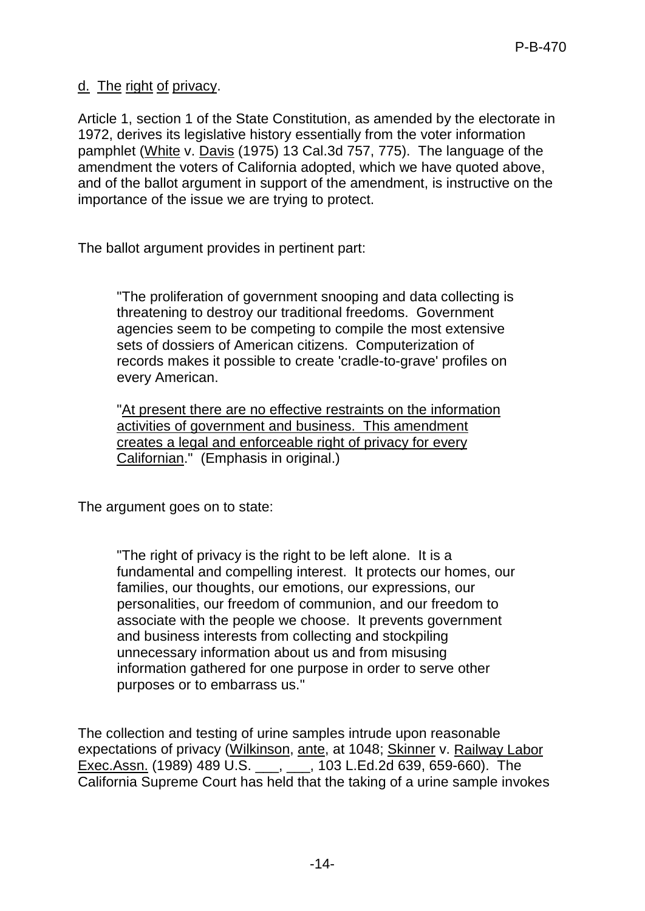d. The right of privacy.

Article 1, section 1 of the State Constitution, as amended by the electorate in 1972, derives its legislative history essentially from the voter information pamphlet (White v. Davis (1975) 13 Cal.3d 757, 775). The language of the amendment the voters of California adopted, which we have quoted above, and of the ballot argument in support of the amendment, is instructive on the importance of the issue we are trying to protect.

The ballot argument provides in pertinent part:

"The proliferation of government snooping and data collecting is threatening to destroy our traditional freedoms. Government agencies seem to be competing to compile the most extensive sets of dossiers of American citizens. Computerization of records makes it possible to create 'cradle-to-grave' profiles on every American.

"At present there are no effective restraints on the information activities of government and business. This amendment creates a legal and enforceable right of privacy for every Californian." (Emphasis in original.)

The argument goes on to state:

"The right of privacy is the right to be left alone. It is a fundamental and compelling interest. It protects our homes, our families, our thoughts, our emotions, our expressions, our personalities, our freedom of communion, and our freedom to associate with the people we choose. It prevents government and business interests from collecting and stockpiling unnecessary information about us and from misusing information gathered for one purpose in order to serve other purposes or to embarrass us."

The collection and testing of urine samples intrude upon reasonable expectations of privacy (Wilkinson, ante, at 1048; Skinner v. Railway Labor Exec.Assn. (1989) 489 U.S. \_\_\_, \_\_\_, 103 L.Ed.2d 639, 659-660). The California Supreme Court has held that the taking of a urine sample invokes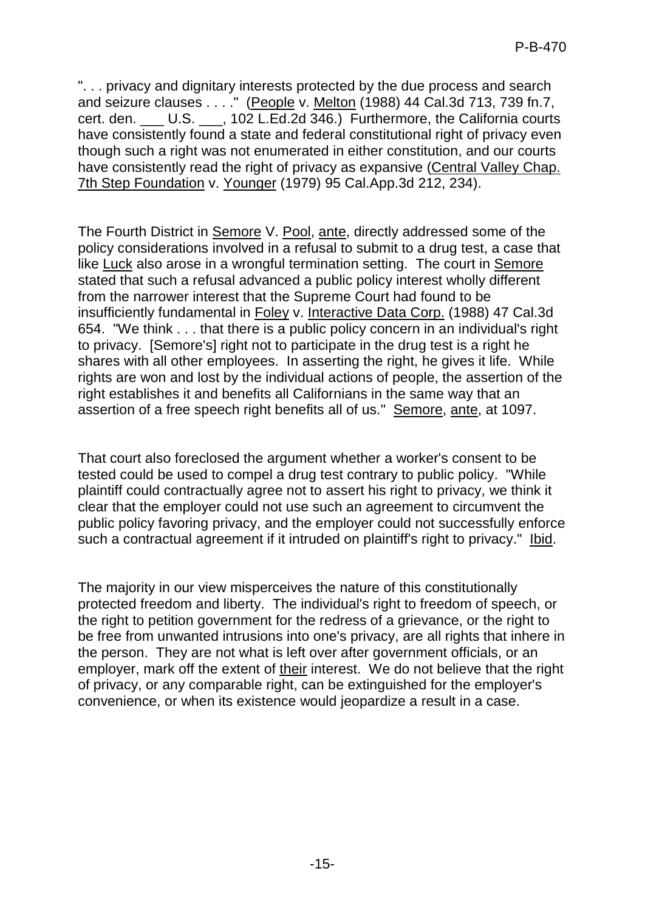". . . privacy and dignitary interests protected by the due process and search and seizure clauses . . . ." (People v. Melton (1988) 44 Cal.3d 713, 739 fn.7, cert. den. \_\_\_ U.S. \_\_\_, 102 L.Ed.2d 346.) Furthermore, the California courts have consistently found a state and federal constitutional right of privacy even though such a right was not enumerated in either constitution, and our courts have consistently read the right of privacy as expansive (Central Valley Chap. 7th Step Foundation v. Younger (1979) 95 Cal.App.3d 212, 234).

The Fourth District in Semore V. Pool, ante, directly addressed some of the policy considerations involved in a refusal to submit to a drug test, a case that like Luck also arose in a wrongful termination setting. The court in Semore stated that such a refusal advanced a public policy interest wholly different from the narrower interest that the Supreme Court had found to be insufficiently fundamental in Foley v. Interactive Data Corp. (1988) 47 Cal.3d 654. "We think . . . that there is a public policy concern in an individual's right to privacy. [Semore's] right not to participate in the drug test is a right he shares with all other employees. In asserting the right, he gives it life. While rights are won and lost by the individual actions of people, the assertion of the right establishes it and benefits all Californians in the same way that an assertion of a free speech right benefits all of us." Semore, ante, at 1097.

That court also foreclosed the argument whether a worker's consent to be tested could be used to compel a drug test contrary to public policy. "While plaintiff could contractually agree not to assert his right to privacy, we think it clear that the employer could not use such an agreement to circumvent the public policy favoring privacy, and the employer could not successfully enforce such a contractual agreement if it intruded on plaintiff's right to privacy." Ibid.

The majority in our view misperceives the nature of this constitutionally protected freedom and liberty. The individual's right to freedom of speech, or the right to petition government for the redress of a grievance, or the right to be free from unwanted intrusions into one's privacy, are all rights that inhere in the person. They are not what is left over after government officials, or an employer, mark off the extent of their interest. We do not believe that the right of privacy, or any comparable right, can be extinguished for the employer's convenience, or when its existence would jeopardize a result in a case.